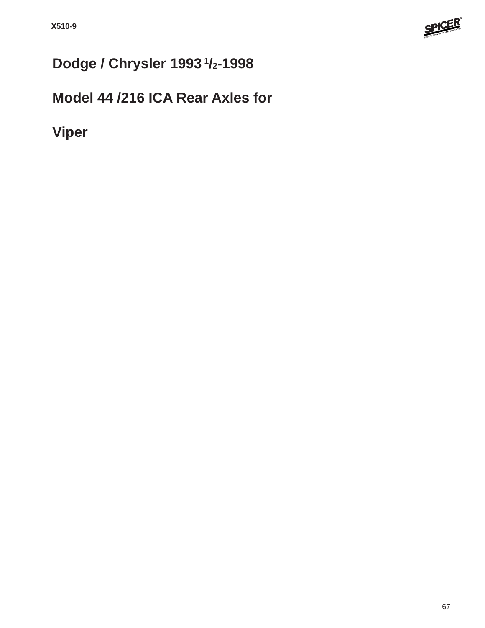

# **Dodge / Chrysler 1993 1/2-1998**

## **Model 44 /216 ICA Rear Axles for**

**Viper**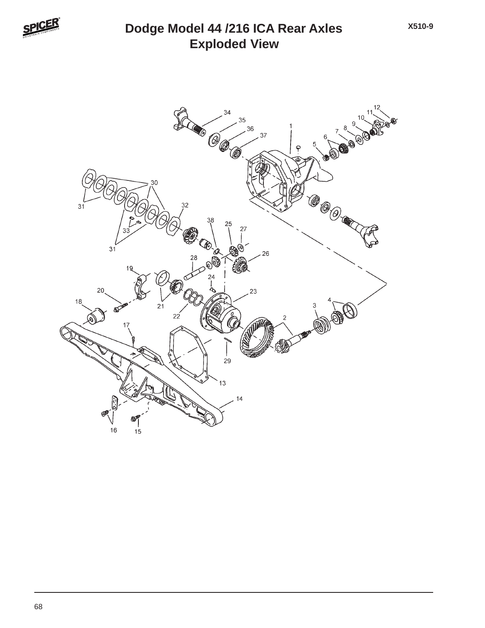

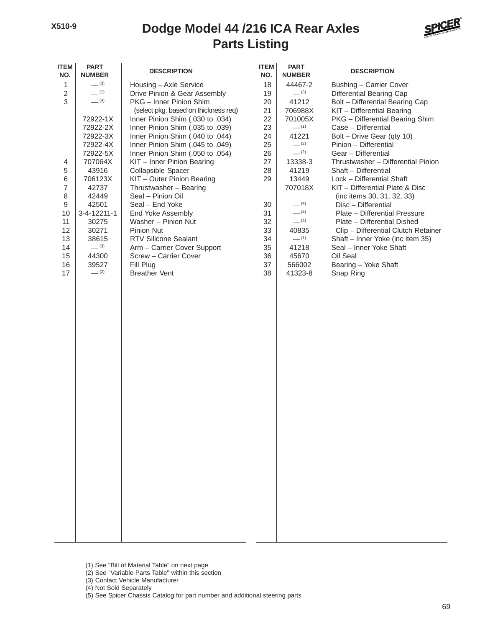### **Parts Listing Dodge Model 44 /216 ICA Rear Axles**



| <b>ITEM</b><br>NO.       | <b>PART</b><br><b>NUMBER</b> | <b>DESCRIPTION</b>                                   | <b>ITEM</b><br>NO. | <b>PART</b><br><b>NUMBER</b> | <b>DESCRIPTION</b>                  |
|--------------------------|------------------------------|------------------------------------------------------|--------------------|------------------------------|-------------------------------------|
| 1                        | $- (3)$                      | Housing - Axle Service                               | 18                 | 44467-2                      | Bushing - Carrier Cover             |
| $\overline{c}$           | $-$ (1)                      | Drive Pinion & Gear Assembly                         | 19                 | $- (3)$                      | Differential Bearing Cap            |
| 3                        | $-$ (4)                      | PKG - Inner Pinion Shim                              | 20                 | 41212                        | Bolt - Differential Bearing Cap     |
|                          |                              | (select pkg. based on thickness req)                 | 21                 | 706988X                      | KIT - Differential Bearing          |
|                          | 72922-1X                     | Inner Pinion Shim (.030 to .034)                     | 22                 | 701005X                      | PKG - Differential Bearing Shim     |
|                          | 72922-2X                     | Inner Pinion Shim (.035 to .039)                     | 23                 | $-$ (1)                      | Case - Differential                 |
|                          | 72922-3X                     | Inner Pinion Shim (.040 to .044)                     | 24                 | 41221                        | Bolt - Drive Gear (qty 10)          |
|                          | 72922-4X                     | Inner Pinion Shim (.045 to .049)                     | 25                 | $- (2)$                      | Pinion - Differential               |
|                          | 72922-5X                     | Inner Pinion Shim (.050 to .054)                     | 26                 | $- (2)$                      | Gear - Differential                 |
| 4                        | 707064X                      | KIT - Inner Pinion Bearing                           | 27                 | 13338-3                      | Thrustwasher - Differential Pinion  |
| 5                        | 43916                        | Collapsible Spacer                                   | 28                 | 41219                        | Shaft - Differential                |
| 6                        | 706123X                      | KIT - Outer Pinion Bearing                           | 29                 | 13449                        | Lock - Differential Shaft           |
| $\overline{\mathcal{I}}$ | 42737                        | Thrustwasher - Bearing                               |                    | 707018X                      | KIT - Differential Plate & Disc     |
| 8                        | 42449                        | Seal - Pinion Oil                                    |                    |                              | (inc items 30, 31, 32, 33)          |
| 9                        | 42501                        | Seal - End Yoke                                      | 30                 | $-$ (4)                      | Disc - Differential                 |
| 10                       | 3-4-12211-1                  | End Yoke Assembly                                    | 31                 | $- (4)$                      | Plate - Differential Pressure       |
| 11                       | 30275                        | Washer - Pinion Nut                                  | 32                 | $- (4)$                      | Plate - Differential Dished         |
| 12                       | 30271                        | Pinion Nut                                           | 33                 | 40835<br>$-$ (1)             | Clip - Differential Clutch Retainer |
| 13                       | 38615<br>$-^{(3)}$           | <b>RTV Silicone Sealant</b>                          | 34                 |                              | Shaft - Inner Yoke (inc item 35)    |
| 14<br>15                 | 44300                        | Arm - Carrier Cover Support<br>Screw - Carrier Cover | 35<br>36           | 41218<br>45670               | Seal - Inner Yoke Shaft<br>Oil Seal |
| 16                       | 39527                        | Fill Plug                                            | 37                 | 566002                       | Bearing - Yoke Shaft                |
| 17                       | $-$ (2)                      | <b>Breather Vent</b>                                 | 38                 | 41323-8                      | Snap Ring                           |
|                          |                              |                                                      |                    |                              |                                     |
|                          |                              |                                                      |                    |                              |                                     |
|                          |                              |                                                      |                    |                              |                                     |
|                          |                              |                                                      |                    |                              |                                     |
|                          |                              |                                                      |                    |                              |                                     |
|                          |                              |                                                      |                    |                              |                                     |
|                          |                              |                                                      |                    |                              |                                     |
|                          |                              |                                                      |                    |                              |                                     |
|                          |                              |                                                      |                    |                              |                                     |
|                          |                              |                                                      |                    |                              |                                     |
|                          |                              |                                                      |                    |                              |                                     |
|                          |                              |                                                      |                    |                              |                                     |
|                          |                              |                                                      |                    |                              |                                     |
|                          |                              |                                                      |                    |                              |                                     |
|                          |                              |                                                      |                    |                              |                                     |
|                          |                              |                                                      |                    |                              |                                     |
|                          |                              |                                                      |                    |                              |                                     |
|                          |                              |                                                      |                    |                              |                                     |
|                          |                              |                                                      |                    |                              |                                     |
|                          |                              |                                                      |                    |                              |                                     |
|                          |                              |                                                      |                    |                              |                                     |
|                          |                              |                                                      |                    |                              |                                     |
|                          |                              |                                                      |                    |                              |                                     |
|                          |                              |                                                      |                    |                              |                                     |
|                          |                              |                                                      |                    |                              |                                     |
|                          |                              |                                                      |                    |                              |                                     |
|                          |                              |                                                      |                    |                              |                                     |

- (1) See "Bill of Material Table" on next page
- (2) See "Variable Parts Table" within this section
- (3) Contact Vehicle Manufacturer
- (4) Not Sold Separately
- (5) See Spicer Chassis Catalog for part number and additional steering parts